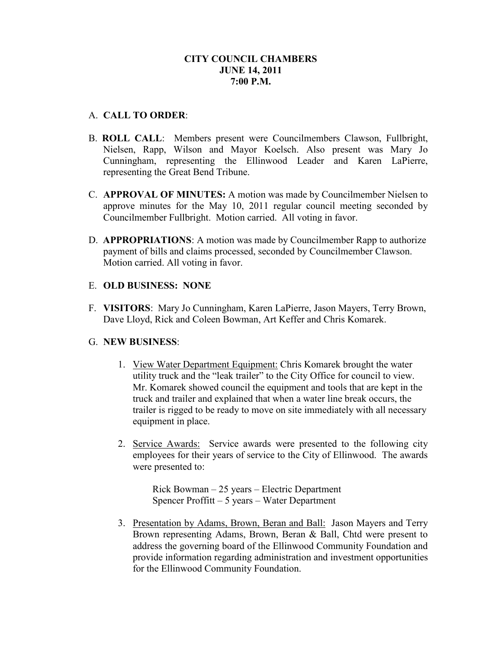## A. **CALL TO ORDER**:

- B. **ROLL CALL**: Members present were Councilmembers Clawson, Fullbright, Nielsen, Rapp, Wilson and Mayor Koelsch. Also present was Mary Jo Cunningham, representing the Ellinwood Leader and Karen LaPierre, representing the Great Bend Tribune.
- C. **APPROVAL OF MINUTES:** A motion was made by Councilmember Nielsen to approve minutes for the May 10, 2011 regular council meeting seconded by Councilmember Fullbright. Motion carried. All voting in favor.
- D. **APPROPRIATIONS**: A motion was made by Councilmember Rapp to authorize payment of bills and claims processed, seconded by Councilmember Clawson. Motion carried. All voting in favor.

# E. **OLD BUSINESS: NONE**

F. **VISITORS**: Mary Jo Cunningham, Karen LaPierre, Jason Mayers, Terry Brown, Dave Lloyd, Rick and Coleen Bowman, Art Keffer and Chris Komarek.

### G. **NEW BUSINESS**:

- 1. View Water Department Equipment: Chris Komarek brought the water utility truck and the "leak trailer" to the City Office for council to view. Mr. Komarek showed council the equipment and tools that are kept in the truck and trailer and explained that when a water line break occurs, the trailer is rigged to be ready to move on site immediately with all necessary equipment in place.
- 2. Service Awards: Service awards were presented to the following city employees for their years of service to the City of Ellinwood. The awards were presented to:

 Rick Bowman – 25 years – Electric Department Spencer Proffitt – 5 years – Water Department

3. Presentation by Adams, Brown, Beran and Ball: Jason Mayers and Terry Brown representing Adams, Brown, Beran & Ball, Chtd were present to address the governing board of the Ellinwood Community Foundation and provide information regarding administration and investment opportunities for the Ellinwood Community Foundation.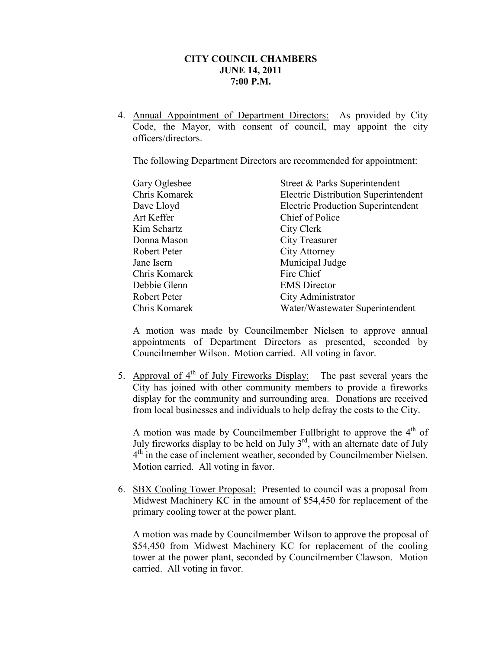4. Annual Appointment of Department Directors: As provided by City Code, the Mayor, with consent of council, may appoint the city officers/directors.

The following Department Directors are recommended for appointment:

| Street & Parks Superintendent               |
|---------------------------------------------|
| <b>Electric Distribution Superintendent</b> |
| <b>Electric Production Superintendent</b>   |
| Chief of Police                             |
| City Clerk                                  |
| City Treasurer                              |
| City Attorney                               |
| Municipal Judge                             |
| Fire Chief                                  |
| <b>EMS</b> Director                         |
| City Administrator                          |
| Water/Wastewater Superintendent             |
|                                             |

A motion was made by Councilmember Nielsen to approve annual appointments of Department Directors as presented, seconded by Councilmember Wilson. Motion carried. All voting in favor.

5. Approval of  $4<sup>th</sup>$  of July Fireworks Display: The past several years the City has joined with other community members to provide a fireworks display for the community and surrounding area. Donations are received from local businesses and individuals to help defray the costs to the City.

A motion was made by Councilmember Fullbright to approve the  $4<sup>th</sup>$  of July fireworks display to be held on July  $3<sup>rd</sup>$ , with an alternate date of July 4<sup>th</sup> in the case of inclement weather, seconded by Councilmember Nielsen. Motion carried. All voting in favor.

6. SBX Cooling Tower Proposal: Presented to council was a proposal from Midwest Machinery KC in the amount of \$54,450 for replacement of the primary cooling tower at the power plant.

A motion was made by Councilmember Wilson to approve the proposal of \$54,450 from Midwest Machinery KC for replacement of the cooling tower at the power plant, seconded by Councilmember Clawson. Motion carried. All voting in favor.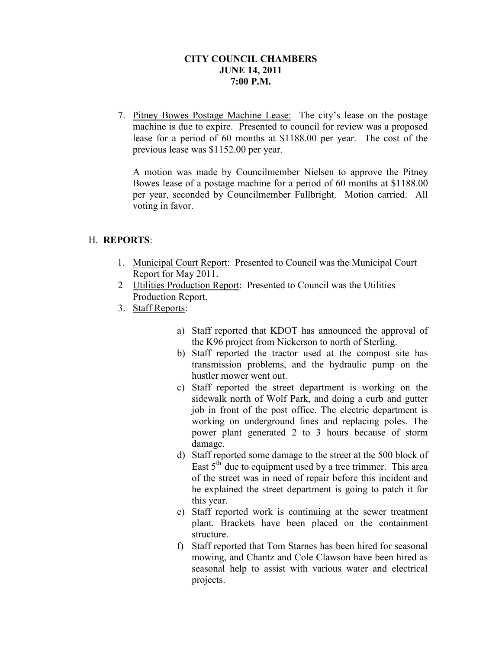7. Pitney Bowes Postage Machine Lease: The city's lease on the postage machine is due to expire. Presented to council for review was a proposed lease for a period of 60 months at \$1188.00 per year. The cost of the previous lease was \$1152.00 per year.

A motion was made by Councilmember Nielsen to approve the Pitney Bowes lease of a postage machine for a period of 60 months at \$1188.00 per year, seconded by Councilmember Fullbright. Motion carried. All voting in favor.

# H. **REPORTS**:

- 1. Municipal Court Report: Presented to Council was the Municipal Court Report for May 2011.
- 2 Utilities Production Report: Presented to Council was the Utilities Production Report.
- 3. Staff Reports:
	- a) Staff reported that KDOT has announced the approval of the K96 project from Nickerson to north of Sterling.
	- b) Staff reported the tractor used at the compost site has transmission problems, and the hydraulic pump on the hustler mower went out.
	- c) Staff reported the street department is working on the sidewalk north of Wolf Park, and doing a curb and gutter job in front of the post office. The electric department is working on underground lines and replacing poles. The power plant generated 2 to 3 hours because of storm damage.
	- d) Staff reported some damage to the street at the 500 block of East  $5<sup>th</sup>$  due to equipment used by a tree trimmer. This area of the street was in need of repair before this incident and he explained the street department is going to patch it for this year.
	- e) Staff reported work is continuing at the sewer treatment plant. Brackets have been placed on the containment structure.
	- f) Staff reported that Tom Starnes has been hired for seasonal mowing, and Chantz and Cole Clawson have been hired as seasonal help to assist with various water and electrical projects.